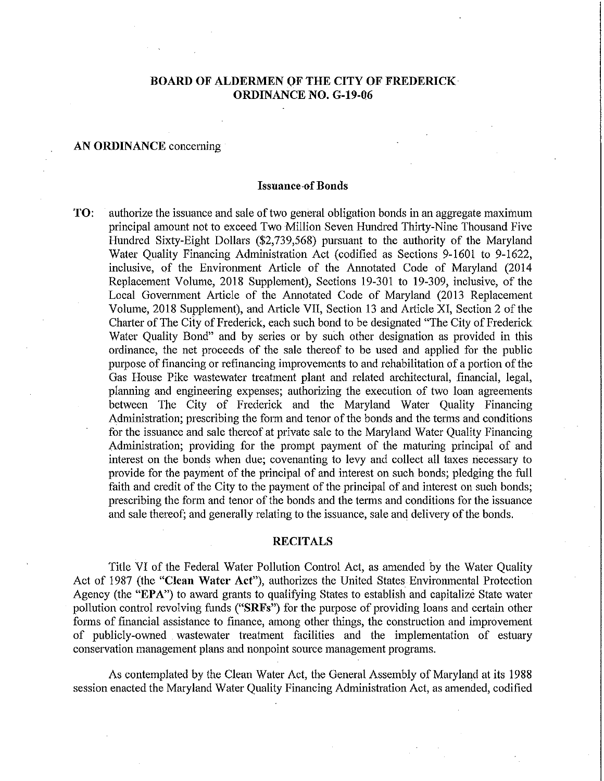### **BOARD OF ALDERMEN OF THE CITY OF FREDERICK ORDINANCE NO. G-19-Q6**

#### **AN ORDINANCE** conceming

#### **Issuance-of Bonds**

**TO:** authorize the issuance and sale of two general obligation bonds in an aggregate maximum principal amount not to exceed Two Million Seven Hundred Thirty-Nine Thousand Five Hundred Sixty-Eight Dollars (\$2,739,568) pursuant to the authority of the Maryland Water Quality Financing Administration Act (codified as Sections 9-1601 to 9-1622, inclusive, of the Environment Article of the Annotated Code of Maryland (2014 Replacement Volume, 2018 Supplement), Sections 19-301 to 19-309, inclusive, of the Local Government Article of the Annotated Code of Maryland (2013 Replacement Volume, 2018 Supplement), and Article VII, Section 13 and Article XI, Section 2 of the Charter of The City of Frederick, each such bond to be designated "The City of Frederick" Water Quality Bond" and by series or by such other designation as provided in this ordinance, the net proceeds of the sale thereof to be used and applied for the public purpose of financing or refinancing improvements to and rehabilitation of a portion of the Gas House Pike wastewater treatment plant and related architectural, financial, legal, planning and engineering expenses; authorizing the execution of two loan agreements between The City of Frederick and the Maryland Water Quality Financing Administration; prescribing the form and tenor of the bonds and the terms and conditions for the issuance and sale thereof at private sale to the Maryland Water Quality Financing Administration; providing for the prompt payment of the maturing principal of and interest on the bonds when due; covenanting to levy and collect all taxes necessary to provide for the payment of the principal of and interest on such bonds; pledging the full faith and credit of the City to the payment of the principal of and interest on such bonds; prescribing the form and tenor of the bonds and the terms and conditions for the issuance and sale thereof; and generally relating to the issuance, sale and delivety of the bonds.

#### **RECITALS**

Title VI of the Federal Water Pollution Control Act, as amended by the Water Quality Act of 1987 (the **"Clean Water** Act"), authorizes the United States Environmental Protection Agency (the **"EPA")** to award grants to qualifying States to establish and capitalize State water pollution control revolving funds ("SRFs") for the purpose of providing loans and certain other forms of financial assistance to finance, among other things, the construction and improvement of publicly-owned wastewater treatment facilities and the implementation of estuary conservation management plans and nonpoint source management programs.

As contemplated by the Clean Water Act, the General Assembly of Maryland at its 1988 session enacted the Maryland Water Quality Financing Administration Act, as amended, codified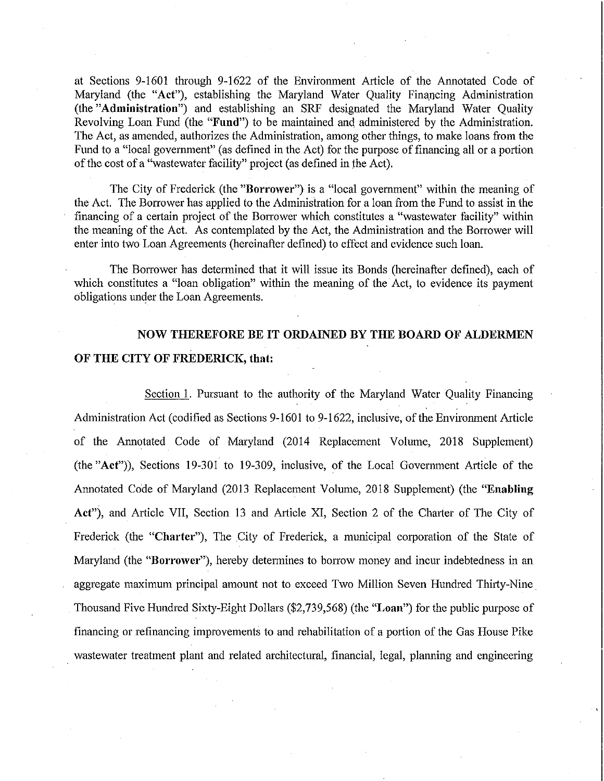at Sections 9-1601 through 9-1622 of the Environment Atlicle of the Annotated Code of Maryland (the "Act"), establishing the Maryland Water Quality Financing Administration (the "Administration") and establishing an SRF designated the Maryland Water Quality Revolving Loan Fund (the "Fund") to be maintained and administered by the Administration. The Act, as amended, authorizes the Administration, among other things, to make loans from the Fund to a "local government" (as defined in the Act) for the purpose of financing all or a portion of the cost of a "wastewater facility" project (as defined in the Act).

The City of Frederick (the "Borrower") is a "local govemment" within the meaning of the Act. The Borrower has applied to the Administration for a loan from the Fund to assist in the financing of a certain project of the Borrower which constitutes a "wastewater facility" within the meaning of the Act. As contemplated by the Act, the Administration and the Borrower will enter into two Loan Agreements (hereinafter defined) to effect and evidence such loan.

The Borrower has determined that it will issue its Bonds (hereinafter defined), each of which constitutes a "loan obligation" within the meaning of the Act, to evidence its payment obligations under the Loan Agreements.

## NOW THEREFORE BE IT ORDAINED BY THE BOARD OF ALDERMEN OF THE CITY OF FREDERICK, that:

Section 1. Pursuant to the authority of the Maryland Water Quality Financing Administration Act (codified as Sections 9-1601 to 9-1622, inclusive, of the Environment Atticle of the Annotated Code of Maryland (2014 Replacement Volume, 2018 Supplement) (the "Act")), Sections 19-301 to 19-309, inclusive, of the Local Government Article of the Annotated Code of Maryland (2013 Replacement Volume, 2018 Supplement) (the "Enabling Act"), and Article VII, Section 13 and Article XI, Section 2 of the Charter of The City of Frederick (the "Charter"), The City of Frederick, a municipal corporation of the State of Maryland (the "Borrower"), hereby determines to borrow money and incur indebtedness in an aggregate maximum principal amount not to exceed Two Million Seven Hundred Thirty-Nine Thousand Five Hundred Sixty-Eight Dollars (\$2,739,568) (the "Loan") for the public purpose of financing or refinancing improvements to and rehabilitation of a portion of the Gas House Pike wastewater treatment plant and related architectural, financial, legal, planning and engineering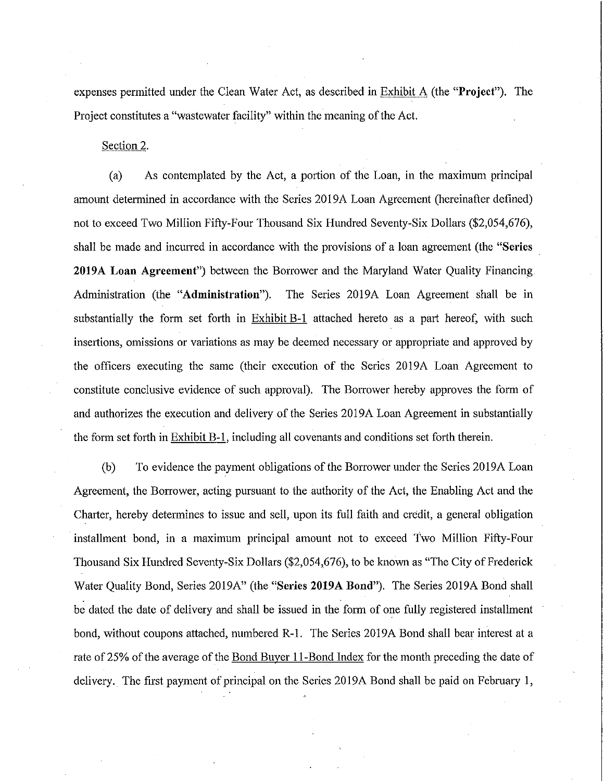expenses permitted under the Clean Water Act, as described in Exhibit A (the "Project"). The Project constitutes a "wastewater facility" within the meaning of the Act.

Section 2.

(a) As contemplated by the Act, a portion of the Loan, in the maximum principal amount determined in accordance with the Series 2019A Loan Agreement (hereinafter defined) not to exceed Two Million Fifty-Four Thousand Six Hundred Seventy-Six Dollars (\$2,054,676), shall be made and incurred in accordance with the provisions of a loan agreement (the "Series" 2019A Loan Agreement") between the Borrower and the Maryland Water Quality Financing Administration (the "Administration"). The Series 2019A Loan Agreement shall be in substantially the form set forth in Exhibit B-1 attached hereto as a part hereof, with such insertions, omissions or variations as may be deemed necessary or appropriate and approved by the officers executing the same (their execution of the Series 2019A Loan Agreement to constitute conclusive evidence of such approval). The Borrower hereby approves the form of and authorizes the execution and delivery of the Series 2019A Loan Agreement in substantially the form set forth in Exhibit B-1, including all covenants and conditions set forth therein.

(b) To evidence the payment obligations of the Borrower under the Series 2019A Loan Agreement, the Borrower, acting pursuant to the authority of the Act, the Enabling Act and the Charter, hereby determines to issue and sell, upon its full faith and credit, a general obligation installment bond, in a maximum principal amount not to exceed Two Million Fifty-Four Thousand Six Hundred Seventy-Six Dollars (\$2,054,676), to be known as "The City of Frederick Water Quality Bond, Series 2019A" (the "Series 2019A Bond"). The Series 2019A Bond shall be dated the date of delivery and shall be issued in the form of one fully registered installment bond, without coupons attached, numbered R-l. The Series 2019A Bond shall bear interest at a rate of 25% of the average of the Bond Buyer II-Bond Index for the month preceding the date of delivery. The first payment of principal on the Series 2019A Bond shall be paid on February 1,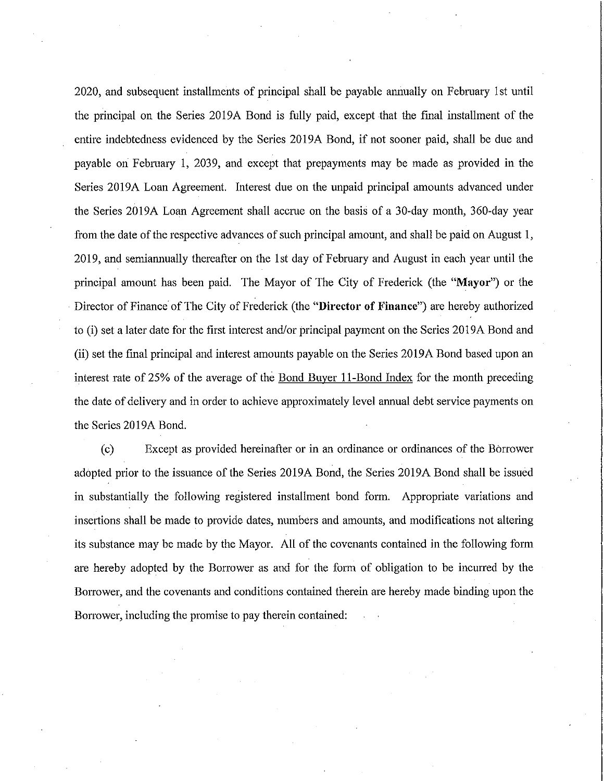2020, and subsequent installments of principal shall be payable annually on February 1st until the principal on the Series 2019A Bond is fully paid, except that the fmal installment of the entire indebtedness evidenced by the Series 2019A Bond, if not sooner paid, shall be due and payable on Febmary 1, 2039, and except that prepayments may be made as provided in the Series 2019A Loan Agreement. Interest due on the unpaid principal amounts advanced under the Series 2019A Loan Agreement shall accrue on the basis of a 30-day month, 360-day year from the date of the respective advances of such principal amount, and shall be paid on August 1, 2019, and semiannually thereafter on the 1st day of Febmary and August in each year until the principal amount has been paid. The Mayor of The City of Frederick (the "Mayor") or the Director of Finance of The City of Frederick (the **"Director of Finance")** are hereby authorized to (i) set a later date for the first interest and/or principal payment on the Series 2019A Bond and (ii) set the fmal principal and interest amounts payable on the Series 2019A Bond based upon an interest rate of 25% of the average of the Bond Buyer II-Bond Index for the month preceding the date of delivery and in order to achieve approximately level annual debt service payments on the Series 2019A Bond.

(c) Except as provided hereinafter or in an ordinance or ordinances of the Borrower adopted prior to the issuance of the Series 2019A Bond, the Series 2019A Bond shall be issued in substantially the following registered installment bond form. Appropriate variations and insertions shall be made to provide dates, numbers and amounts, and modifications not altering its substance may be made by the Mayor. All of the covenants contained in the following form are hereby adopted by the Borrower as and for the form of obligation to be incurred by the Borrower, and the covenants and conditions contained therein are hereby made binding upon the Borrower, including the promise to pay therein contained: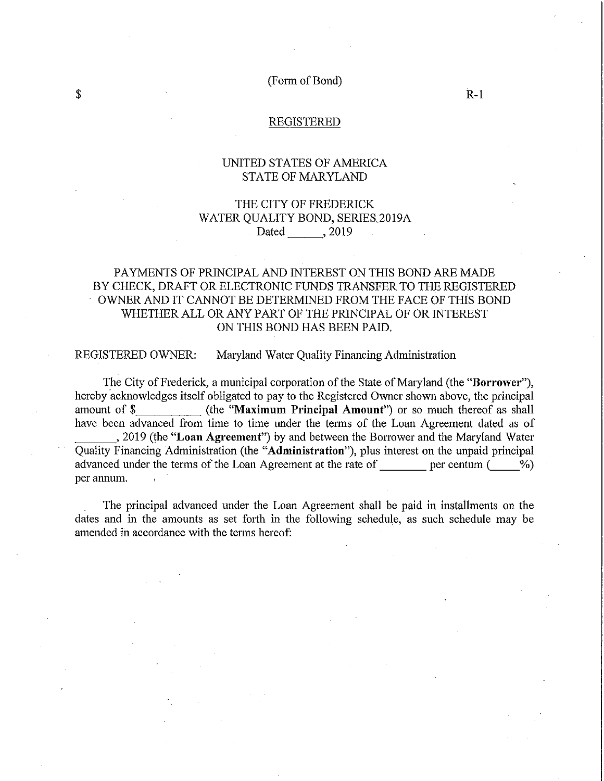(Form of Bond)

 $R-1$ 

REGISTERED

### UNITED STATES OF AMERICA STATE OF MARYLAND

## THE CITY OF FREDERICK WATER QUALITY BOND, SERIES.2019A Dated , 2019

## PAYMENTS OF PRINCIPAL AND INTEREST ON THIS BOND ARE MADE BY CHECK, DRAFT OR ELECTRONIC FUNDS TRANSFER TO THE REGISTERED OWNER AND IT CANNOT BE DETERMINED FROM THE FACE OF THIS BOND WHETHER ALL OR ANY PART OF THE PRINCIPAL OF OR INTEREST ON THIS BOND HAS BEEN PAID.

REGISTERED OWNER: Maryland Water Quality Financing Administration

The City of Frederick, a municipal corporation of the State of Maryland (the "Borrower"), hereby acknowledges itself obligated to pay to the Registered Owner shown above, the principal amount of \$ (the "Maximum Principal Amount") or so much thereof as shall have been advanced from time to time under the terms of the Loan Agreement dated as of , 2019 (the "Loan Agreement") by and between the Borrower and the Maryland Water Quality Financing Administration (the "Administration"), plus interest on the unpaid principal advanced under the terms of the Loan Agreement at the rate of per centum  $($  %) per annum.  $\epsilon$ 

The principal advanced under the Loan Agreement shall be paid in installments on the dates and in the amounts as set forth in the following schedule, as such schedule may be amended in accordance with the terms hereof:

\$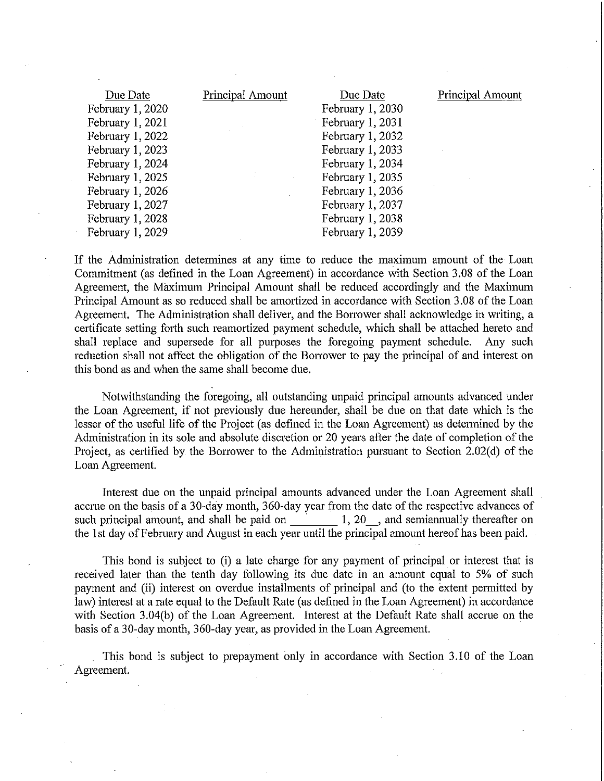| Due Date         | Principal Amount | Due Date         | Principal Amount |
|------------------|------------------|------------------|------------------|
| February 1, 2020 |                  | February 1, 2030 |                  |
| February 1, 2021 |                  | February 1, 2031 |                  |
| February 1, 2022 |                  | February 1, 2032 |                  |
| February 1, 2023 |                  | February 1, 2033 |                  |
| February 1, 2024 |                  | February 1, 2034 |                  |
| February 1, 2025 |                  | February 1, 2035 |                  |
| February 1, 2026 |                  | February 1, 2036 |                  |
| February 1, 2027 |                  | February 1, 2037 |                  |
| February 1, 2028 |                  | February 1, 2038 |                  |
| February 1, 2029 |                  | February 1, 2039 |                  |

If the Administration detennines at any time to reduce the maximum amount of the Loan Commitment (as defined in the Loan Agreement) in accordance with Section 3.08 of the Loan Agreement, the Maximum Principal Amount shall be reduced accordingly and the Maximum Principal Amount as so reduced shall be amortized in accordance with Section 3.08 of the Loan Agreement. The Administration shall deliver, and the Borrower shall acknowledge in writing, a certificate setting forth such reamortized payment schedule, which shall be attached hereto and shall replace and supersede for all purposes the foregoing payment schedule. Any such reduction shall not affect the obligation of the Borrower to pay the principal of and interest on this bond as and when the same shall become due.

Notwithstanding the foregoing, all outstanding unpaid principal amounts advanced under the Loan Agreement, if not previously due hereunder, shall be due on that date which is the lesser of the useful life of the Project (as defined in the Loan Agreement) as determined by the Administration in its sole and absolute discretion or 20 years after the date of completion of the Project, as certified by the Borrower to the Administration pursuant to Section 2.02(d) of the Loan Agreement.

Interest due on the unpaid principal amounts advanced under the Loan Agreement shall accrue on the basis of a 30-day month, 360-day year from the date of the respective advances of such principal amount, and shall be paid on  $1, 20$ , and semiannually thereafter on the 1st day of February and August in each year until the principal amount hereof has been paid.

This bond is subject to (i) a late charge for any payment of principal or interest that is received later than the tenth day following its due date in an amount equal to 5% of such payment and (ii) interest on overdue installments of principal and (to the extent permitted by law) interest at a rate equal to the Default Rate (as defined in the Loan Agreement) in accordance with Section 3.04(b) of the Loan Agreement. Interest at the Default Rate shall accrue on the basis of a 30-day month, 360-day year, as provided in the Loan Agreement.

This bond is subject to prepayment only in accordance with Section 3.10 of the Loan Agreement.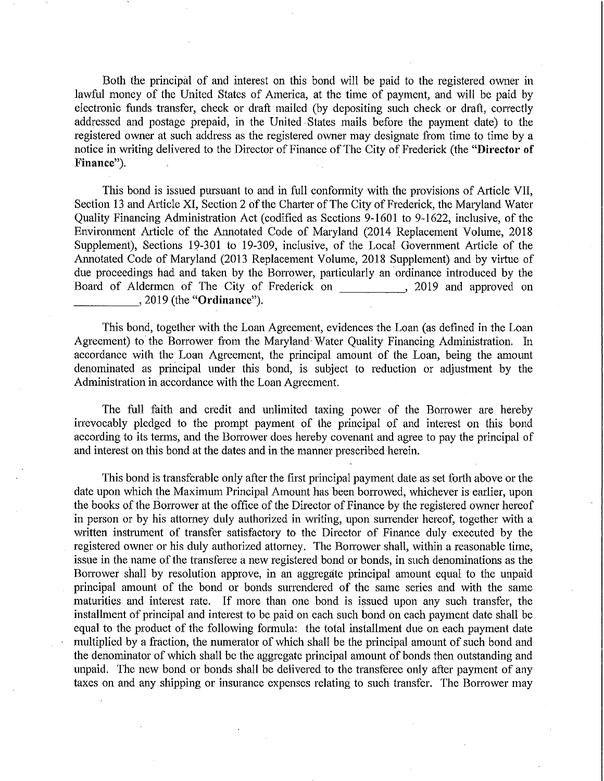Both the principal of and interest on this bond will be paid to the registered owner in lawful money of the United States of America, at the time of payment, and will be paid by electronic funds transfer, check or draft mailed (by depositing such check or draft, correctly addressed and postage prepaid, in the United States mails before the payment date) to the registered owner at such address as the registered owner may designate from time to time by a notice in writing delivered to the Director of Finance of The City of Frederick (the **"Director of**  Finance").

This bond is issued pursuant to and in full conformity with the provisions of Article VII, Section 13 and Article XI, Section 2 of the Charter of The City of Frederick, the Maryland Water Quality Financing Administration Act (codified as Sections 9-1601 to 9-1622, inclusive, of the Environment Article of the Annotated Code of Maryland (2014 Replacement Volume, 2018 Supplement), Sections 19-301 to 19-309, inclusive, of the Local Government Article of the Annotated Code of Maryland (2013 Replacement Volume, 2018 Supplement) and by virtue of due proceedings had and taken by the Borrower, particularly an ordinance introduced by the Board of Aldermen of The City of Frederick on , 2019 and approved on  $,2019$  (the "Ordinance").

This bond, together with the Loan Agreement, evidences the Loan (as defined in the Loan Agreement) to the Borrower from the Maryland Water Quality Financing Administration. In accordance with the Loan Agreement, the principal amount of the Loan, being the amount denominated as principal under this bond, is subject to reduction or adjustment by the Administration in accordance with the Loan Agreement.

The full faith and credit and unlimited taxing power of the Borrower are hereby irrevocably pledged to the prompt payment of the principal of and interest on this bond according to its terms, and the Borrower does hereby covenant and agree to pay the principal of and interest on this bond at the dates and in the manner prescribed herein.

This bond is transferable only after the first principal payment date as set forth above or the date upon which the Maximum Principal Amount has been borrowed, whichever is earlier, upon the books of the Borrower at the office of the Director of Finance by the registered owner hereof in person or by his attorney duly authorized in writing, upon surrender hereof, together with a written instrument of transfer satisfactory to the Director of Finance duly executed by the registered owner or his duly authorized attorney. The Borrower shall, within a reasonable time, issue in the name of the transferee a new registered bond or bonds, in such denominations as the Borrower shall by resolution approve, in an aggregate principal amount equal to the unpaid principal amount of the bond or bonds surrendered of the same series and with the same maturities and interest rate. If more than one bond is issued upon any such transfer, the installment of principal and interest to be paid on each such bond on each payment date shall be equal to the product of the following formula: the total installment due on each payment date multiplied by a fraction, the numerator of which shall be the principal amount of such bond and the denominator of which shall be the aggregate principal amount of bonds then outstanding and unpaid. The new bond or bonds shall be delivered to the transferee only after payment of any taxes on and any shipping or insurance expenses relating to such transfer. The Borrower may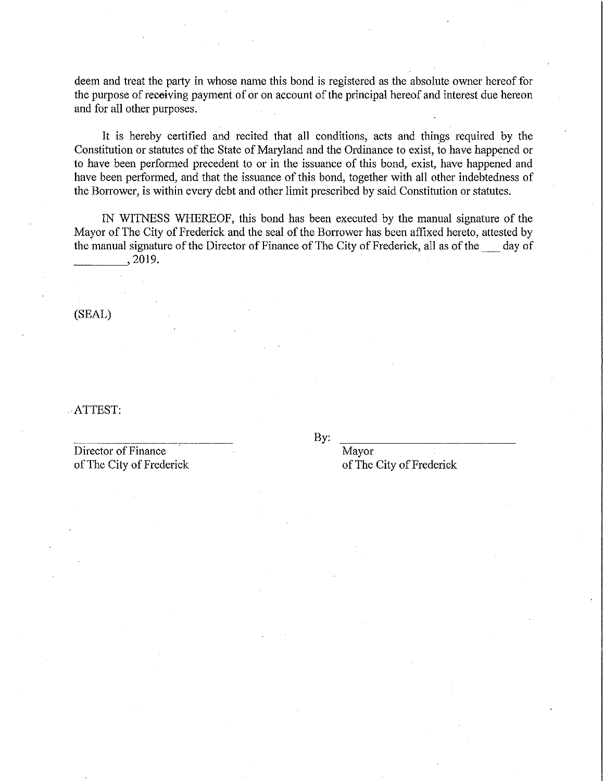deem and treat the party in whose name this bond is registered as the absolute owner hereof for the purpose of receiving payment of or on account of the principal hereof and interest due hereon and for all other purposes.

It is hereby certified and recited that all conditions, acts and things required by the Constitution or statutes of the State of Maryland and the Ordinance to exist, to have happened or to have been performed precedent to or in the issuance of this bond, exist, have happened and have been performed, and that the issuance of this bond, together with all other indebtedness of the Borrower, is within every debt and other limit prescribed by said Constitution or statutes.

IN WITNESS WHEREOF, this bond has been executed by the manual signature of the Mayor of The City of Frederick and the seal of the Borrower has been affixed hereto, attested by the manual signature of the Director of Finance of The City of Frederick, all as of the 10 day of 1.1 as 0.019.

(SEAL)

. ATTEST:

Director of Finance Mayor of The City of Frederick of The City of Frederick

By: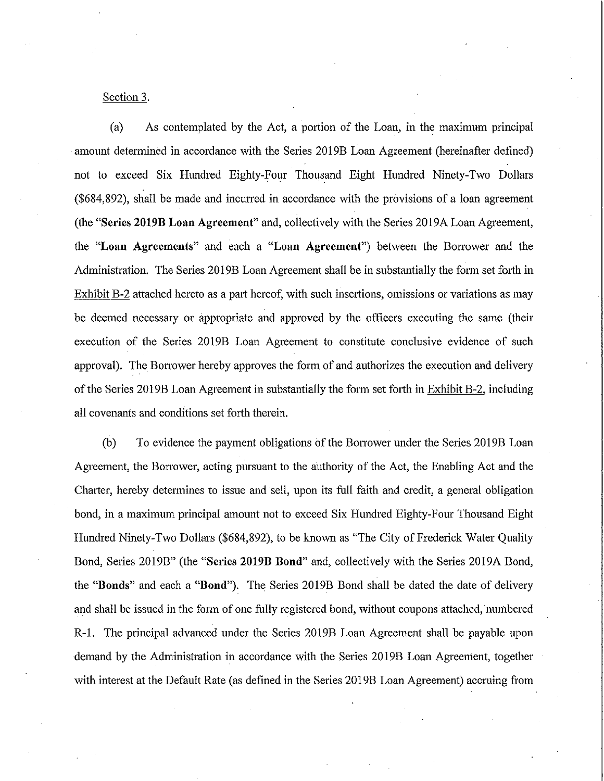#### Section 3.

(a) As contemplated by the Act, a portion of the Loan, in the maximum principal amolmt determined in accordance with the Series 2019B Loan Agreement (hereinafter defined) not to exceed Six Hlmdred Eighty-Four Thousand Eight Hundred Ninety-Two Dollars (\$684,892), shall be made and incurred in accordance with the provisions of a loan agreement (the "Series **2019B** Loan Agreement" and, collectively with the Series 20l9A Loan Agreement, the "Loan Agreements" and each a "Loan Agreement") between the Borrower and the Administration. The Series 2019B Loan Agreement shall be in substantially the form set forth in Exhibit B-2 attached hereto as a part hereof, with such insertions, omissions or variations as may be deemed necessary or appropriate and approved by the officers executing the same (their execution of the Series 2019B Loan Agreement to constitute conclusive evidence of such approval). The Borrower hereby approves the form of and authorizes the execution and delivery of the Series 2019B Loan Agreement in substantially the form set forth in Exhibit B-2, including all covenants and conditions set forth therein.

(b) To evidence the payment obligations of the Borrower under the Series 20l9B Loan Agreement, the Borrower, acting pursuant to the authority of the Act, the Enabling Act and the Charter, hereby determines to issue and sell, upon its full faith and credit, a general obligation bond, in a maximum principal amount not to exceed Six Hundred Eighty-Four Thousand Eight Hundred Ninety-Two Dollars (\$684,892), to be known as "The City of Frederick Water Quality Bond, Series 2019B" (the "Series **2019B** Bond" and, collectively with the Series 2019A Bond, the "Bonds" and each a "Bond"). The Series 20l9B Bond shall be dated the date of delivery and shall be issued in the form of one fully registered bond, without coupons attached, numbered R -I. The principal advanced under the Series 2019B Loan Agreement shall be payable upon demand by the Administration in accordance with the Series 2019B Loan Agreement, together with interest at the Default Rate (as defined in the Series 2019B Loan Agreement) accruing from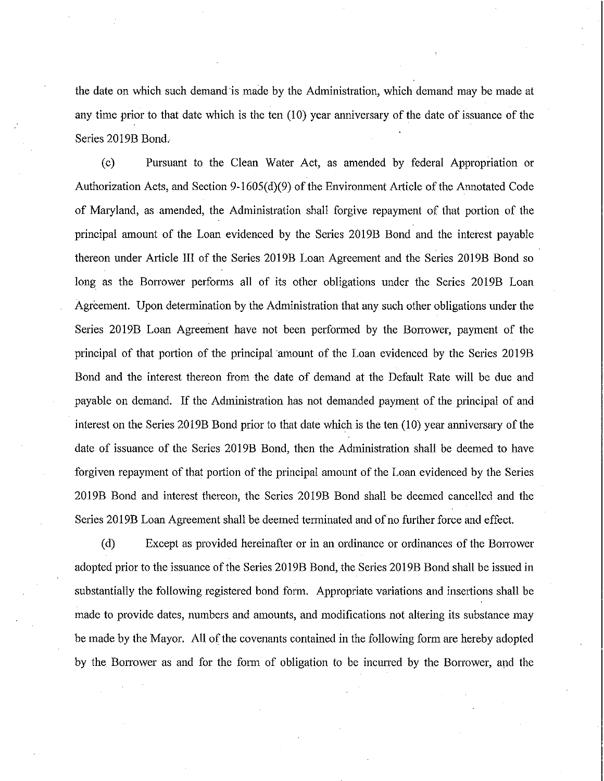the date on which such demand is made by the Administration, which demand may be made at any time prior to that date which is the ten (10) year anniversary of the date of issuance of the Series 2019B Bond.

( c) Pursuant to the Clean Water Act, as amended by federal Appropriation or Authorization Acts, and Section 9-1605(d)(9) of the Enviromnent Article of the Annotated Code of Maryland, as amended, the Administration shall forgive repayment of that portion of the principal amount of the Loan evidenced by the Series 2019B Bond and the interest payable thereon under Article III of the Series 2019B Loan Agreement and the Series 2019B Bond so long as the Borrower performs all of its other obligations under the Series 2019B Loan Agreement. Upon detennination by the Administration that any such other obligations under the Series 2019B Loan Agreement have not been performed by the Borrower, payment of the principal of that portion of the principal amount of the Loan evidenced by the Series 2019B Bond and the interest thereon from the date of demand at the Default Rate will be due and payable on demand. If the Administration has not demanded payment of the principal of and interest on the Series 2019B Bond prior to that date which is the ten (10) year anniversary of the date of issuance of the Series 2019B Bond, then the Administration shall be deemed to have forgiven repayment of that portion of the principal amount of the Loan evidenced by the Series 2019B Bond and interest thereon, the Series 2019B Bond shall be deemed cancelled and the Series 2019B Loan Agreement shall be deemed terminated and of no further force and effect.

(d) Except as provided hereinafter or in an ordinance or ordinances of the Bonower adopted prior to the issuance of the Series 2019B Bond, the Series 2019B Bond shall be issued in substantially the following registered bond form. Appropriate variations and insertions shall be made to provide dates, numbers and amounts, and modifications not altering its substance may be made by the Mayor. All of the covenants contained in the following form are hereby adopted by the Borrower as and for the form of obligation to be incurred by the Borrower, and the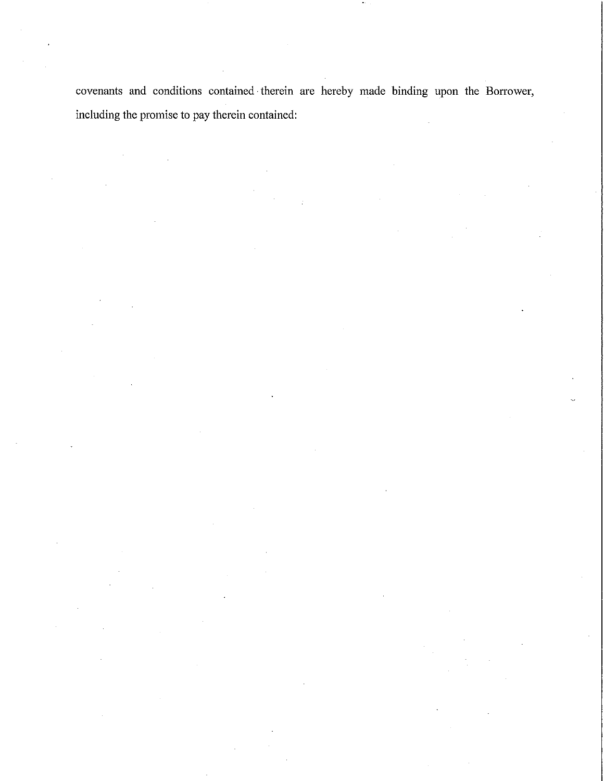covenants and conditions contained· therein are hereby made binding upon the Borrower, including the promise to pay therein contained: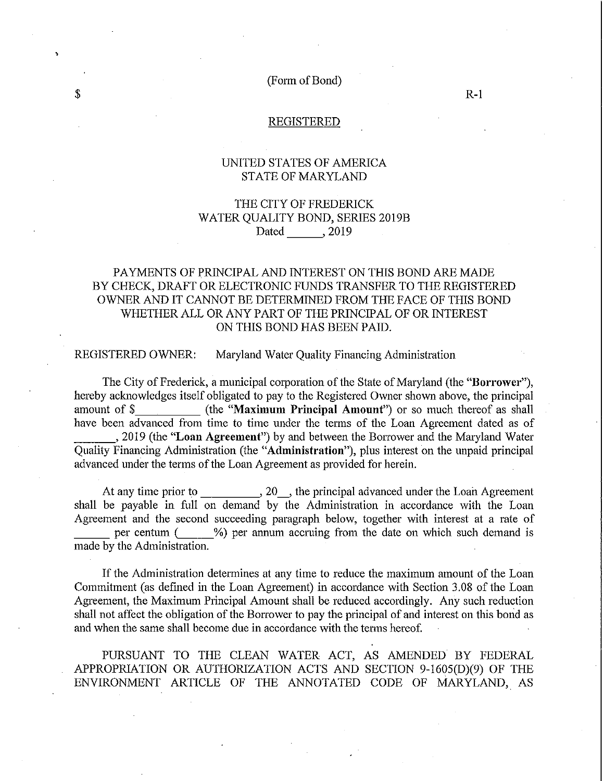(Form of Bond)

#### REGISTERED

### UNITED STATES OF AMERICA STATE OF MARYLAND

## THE CITY OF FREDERICK WATER QUALITY BOND, SERIES 20l9B Dated , 2019

### PAYMENTS OF PRINCIPAL AND INTEREST ON THIS BOND ARE MADE BY CHECK, DRAFT OR ELECTRONIC FUNDS TRANSFER TO THE REGISTERED OWNER AND IT CANNOT BE DETERMINED FROM THE FACE OF THIS BOND WHETHER ALL OR ANY PART OF THE PRINCIPAL OF OR INTEREST ON THIS BOND HAS BEEN PAID.

REGISTERED OWNER: Maryland Water Quality Financing Administration

The City of Frederick, a municipal corporation of the State of Maryland (the "Borrower"), hereby acknowledges itself obligated to pay to the Registered Owner shown above, the principal amount of \$ (the "Maximum Principal Amount") or so much thereof as shall have been advanced from time to time under the terms of the Loan Agreement dated as of , 2019 (the "Loan Agreement") by and between the Borrower and the Maryland Water Quality Financing Administration (the "Administration"), plus interest on the unpaid principal advanced under the terms of the Loan Agreement as provided for herein.

At any time prior to \_\_\_\_\_\_\_\_\_\_\_, 20\_\_, the principal advanced under the Loan Agreement shall be payable in full on demand by the Administration in accordance with the Loan Agreement and the second succeeding paragraph below, together with interest at a rate of per centum (  $\%$ ) per annum accruing from the date on which such demand is made by the Administration.

If the Administration determines at any time to reduce the maximum amount of the Loan Commitment (as defined in the Loan Agreement) in accordance with Section 3.08 of the Loan Agreement, the Maximum Principal Amount shall be reduced accordingly. Any such reduction shall not affect the obligation of the Borrower to pay the principal of and interest on this bond as and when the same shall become due in accordance with the terms hereof.

PURSUANT TO THE CLEAN WATER ACT, AS AMENDED BY FEDERAL APPROPRIATION OR AUTHORIZATION ACTS AND SECTION 9-1605(D)(9) OF THE ENVIRONMENT ARTICLE OF THE ANNOTATED CODE OF MARYLAND, AS

,

R-l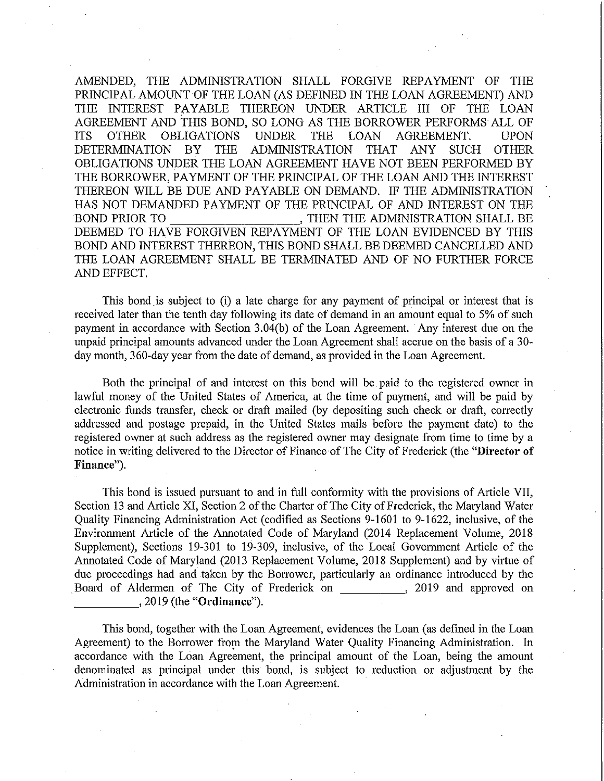AMENDED, THE ADMINISTRATION SHALL FORGIVE REPAYMENT OF THE PRINCIPAL AMOUNT OF THE LOAN (AS DEFINED IN THE LOAN AGREEMENT) AND THE INTEREST PAYABLE THEREON UNDER ARTICLE III OF THE LOAN AGREEMENT AND THIS BOND, SO LONG AS THE BORROWER PERFORMS ALL OF ITS OTHER OBLIGATIONS UNDER THE LOAN AGREEMENT. UPON DETERMINATION BY THE ADMINISTRATION THAT ANY SUCH OTHER OBLIGATIONS UNDER THE LOAN AGREEMENT HAVE NOT BEEN PERFORMED BY THE BORROWER, PAYMENT OF THE PRINCIPAL OF THE LOAN AND THE INTEREST THEREON WILL BE DUE AND PAYABLE ON DEMAND. IF THE ADMINISTRATION HAS NOT DEMANDED PAYMENT OF THE PRINCIPAL OF AND INTEREST ON THE BOND PRIOR TO **FIGURE 1. THEN THE ADMINISTRATION SHALL BE** DEEMED TO HAVE FORGIVEN REPAYMENT OF THE LOAN EVIDENCED BY THIS BOND AND INTEREST THEREON, THIS BOND SHALL BE DEEMED CANCELLED AND THE LOAN AGREEMENT SHALL BE TERMINATED AND OF NO FURTHER FORCE AND EFFECT.

This bond.is subject to (i) a late charge for any payment of principal or interest that is received later than the tenth day following its date of demand in an amount equal to 5% of such payment in accordance with Section 3.04(b) of the Loan Agreement. Any interest due on the unpaid principal amounts advanced under the Loan Agreement shall accrue on the basis of a 30 day month, 360-day year from the date of demand, as provided in the Loan Agreement.

Both the principal of and interest on this bond will be paid to the registered owner in lawful money of the United States of America, at the time of payment, and will be paid by electronic funds transfer, check or draft mailed (by depositing such check or draft, correctly addressed and postage prepaid, in the United States mails before the payment date) to the registered owner at such address as the registered owner may designate from time to time by a notice in writing delivered to the Director of Finance of The City of Frederick (the **"Director of**  Finance").

This bond is issued pursuant to and in full conformity with the provisions of Article VII, Section 13 and Article XI, Section 2 of the Charter of The City of Frederick, the Maryland Water Quality Financing Administration Act (codified as Sections 9-1601 to 9-1622, inclusive, of the Environment Article of the Annotated Code of Maryland (2014 Replacement Volume, 2018 Supplement), Sections 19-301 to 19-309, inclusive, of the Local Government Article of the Annotated Code of Matyland (2013 Replacement Volume, 2018 Supplement) and by virtue of due proceedings had and taken by the Borrower, particularly an ordinance introduced by the Board of Aldermen of The City of Frederick on , 2019 and approved on  $,2019$  (the "Ordinance").

This bond, together with the Loan Agreement, evidences the Loan (as defined in the Loan Agreement) to the Borrower from the Maryland Water Quality Financing Administration. In accordance with the Loan Agreement, the principal amount of the Loan, being the amount denominated as principal under this bond, is subject to reduction or adjustment by the Administration in accordance with the Loan Agreement. .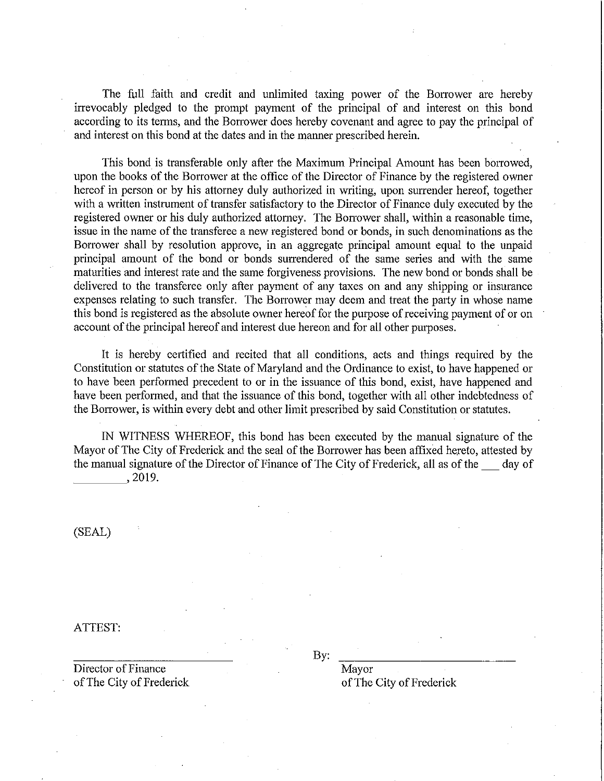The full faith and credit and unlimited taxing power of the Borrower are hereby irrevocably pledged to the prompt payment of the principal of and interest on this bond according to its terms, and the Borrower does hereby covenant and agree to pay the principal of and interest on this bond at the dates and in the manner prescribed herein.

This bond is transferable only after the Maximum Principal Amount has been borrowed, upon the books of the Borrower at the office of the Director of Finance by the registered owner hereof in person or by his attomey duly authorized in writing, upon surrender hereof, together with a written instrument of transfer satisfactory to the Director of Finance duly executed by the registered owner or his duly authorized attorney. The Borrower shall, within a reasonable time, issue in the name of the transferee a new registered bond or bonds, in such denominations as the Borrower shall by resolution approve, in an aggregate principal amount equal to the unpaid principal amount of the bond or bonds surrendered of the same series and with the same maturities and interest rate and the same forgiveness provisions. The new bond or bonds shall be delivered to the transferee only after payment of any taxes on and any shipping or insurance expenses relating to such transfer. The Borrower may deem and treat the party in whose name this bond is registered as the absolute owner hereof for the purpose of receiving payment of or on account of the principal hereof and interest due hereon and for all other purposes.

It is hereby certified and recited that all conditions, acts and things required by the Constitution or statutes of the State of Maryland and the Ordinance to exist, to have happened or to have been performed precedent to or in the issuance of this bond, exist, have happened and have been performed, and that the issuance of this bond, together with all other indebtedness of the Borrower, is within every debt and other limit prescribed by said Constitution or statutes.

IN WITNESS WHEREOF, this bond has been executed by the manual signature of the Mayor of The City of Frederick and the seal of the Borrower has been affixed hereto, attested by the manual signature of the Director of Finance of The City of Frederick, all as of the \_\_\_ day of , 2019.

(SEAL)

ATTEST:

Director of Finance Mayor of The City of Frederick of The City of Frederick

By: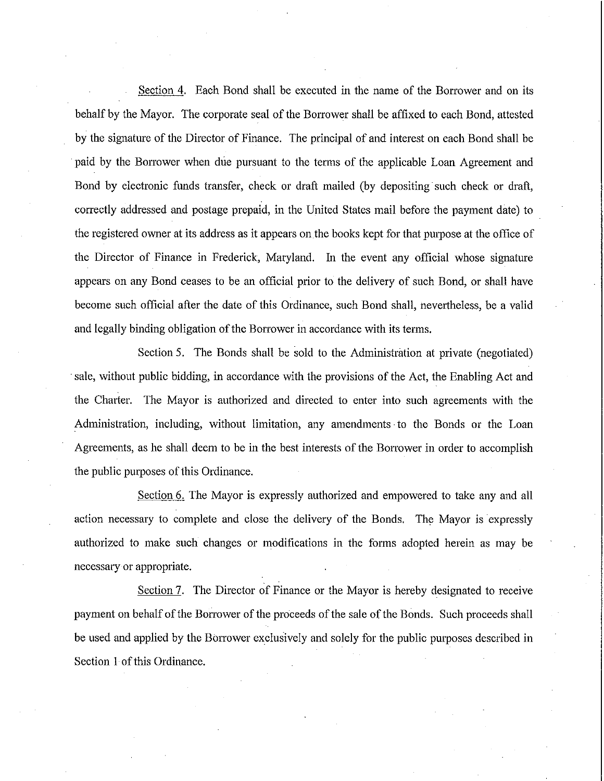Section 4. Each Bond shall be executed in the name of the Borrower and on its behalf by the Mayor. The corporate seal of the Borrower shall be affixed to each Bond, attested by the signature of the Director of Finance. The principal of and interest on each Bond shall be . paid by the Borrower when due pursuant to the terms of the applicable Loan Agreement and Bond by electronic funds transfer, check or draft mailed (by depositing such check or draft, correctly addressed and postage prepaid, in the United States mail before the payment date) to the registered owner at its address as it appears on.the books kept for that purpose at the office of the Director of Finance in Frederick, Maryland. In the event any official whose signature appears on any Bond ceases to be an official prior to the delivery of such Bond, or shall have become such official after the date of this Ordinance, such Bond shall, nevertheless, be a valid and legally binding obligation of the Borrower in accordance with its terms.

Section 5. The Bonds shall be sold to the Administration at private (negotiated) . sale, without public bidding, in accordance with the provisions of the Act, the Enabling Act and the Charter. The Mayor is authorized and directed to enter into such agreements with the Administration, including, without limitation, any amendments· to the Bonds or the Loan Agreements, as he shall deem to be in the best interests of the Borrower in order to accomplish the public purposes of this Ordinance.

Section 6. The Mayor is expressly authorized and empowered to take any and all action necessary to complete and close the delivery of the Bonds. The Mayor is expressly authorized to make such changes or modifications in the forms adopted herein as may be necessary or appropriate.

Section 7. The Director of Finance or the Mayor is hereby designated to receive payment on behalf of the Borrower of the proceeds of the sale of the Bonds. Such proceeds shall be used and applied by the Borrower exclusively and solely for the public purposes described in Section 1 of this Ordinance.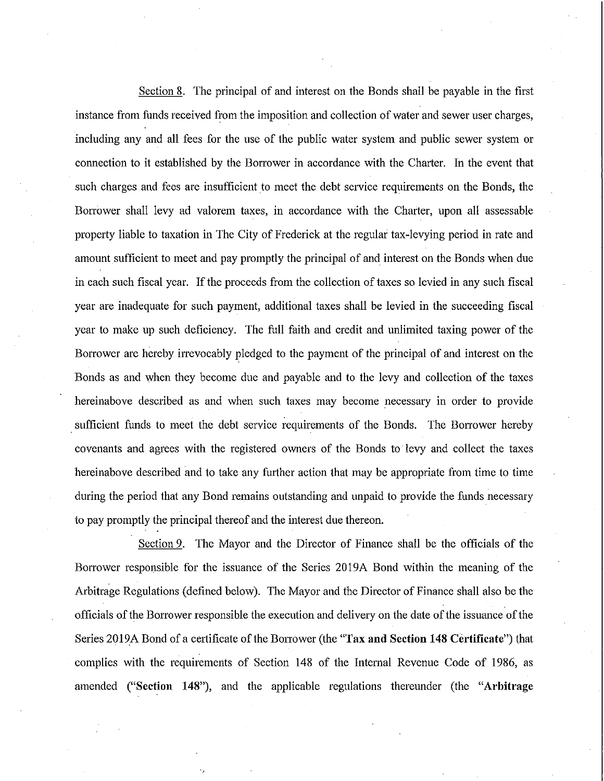Section 8. The principal of and interest on the Bonds shall be payable in the first instance from funds received from the imposition and collection of water and sewer user charges, including any and all fees for the use of the public water system and public sewer system or connection to it established by the Borrower in accordance with the Charter. In the event that such charges and fees are insufficient to meet the debt service requirements on the Bonds, the Borrower shall levy ad valorem taxes, in accordance with the Charter, upon all assessable property liable to taxation in The City of Frederick at the regular tax-levying period in rate and amount sufficient to meet and pay promptly the principal of and interest on the Bonds when due in each such fiscal year. If the proceeds from the collection of taxes so levied in any such fiscal year are inadequate for such payment, additional taxes shall be levied in the succeeding fiscal year to make up such deficiency. The full faith and credit and unlimited taxing power of the Borrower are hereby irrevocably pledged to the payment of the principal of and interest on the Bonds as and when they become due and payable and to the levy and collection of the taxes hereinabove described as and when such taxes may become necessary in order to provide sufficient funds to meet the debt service requirements of the Bonds. The Borrower hereby covenants and agrees with the registered owners of the Bonds to levy and collect the taxes hereinabove described and to take any further action that may be appropriate from time to time during the period that any Bond remains outstanding and unpaid to provide the funds necessary to pay promptly the principal thereof and the interest due thereon.

Section 9. The Mayor and the Director of Finance shall be the officials of the Borrower responsible for the issuance of the Series 2019A Bond within the meaning of the Arbitrage Regulations (defined below). The Mayor and the Director of Finance shall also be the officials of the Borrower responsible the execution and delivery on the date of the issuance of the Series 2019A Bond of a certificate of the Borrower (the "Tax and Section 148 Certificate") that complies with the requirements of Section **148** of the Intemal Revenue Code of 1986, as amended **("Section 148"),** and the applicable regulations thereunder (the **"Arbitrage**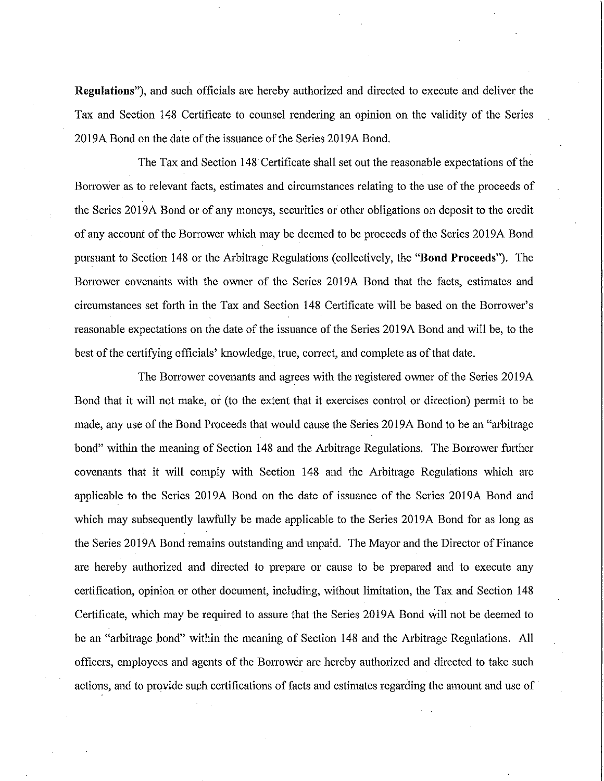Regulations"), and such officials are hereby authorized and directed to execute and deliver the Tax and Section 148 Certificate to counsel rendering an opinion on the validity of the Series 2019A Bond on the date of the issuance of the Series 2019A Bond.

The Tax and Section 148 Certificate shall set out the reasonable expectations of the Borrower as to relevant facts, estimates and circumstances relating to the use of the proceeds of the Series 2019 A Bond or of any moneys, securities or other obligations on deposit to the credit of any account of the Borrower which may be deemed to be proceeds of the Series 2019A Bond pursuant to Section 148 or the Arbitrage Regulations (collectively, the "Bond Proceeds"). The Borrower covenants with the owner of the Series 2019A Bond that the facts, estimates and circumstances set forth in the Tax and Section 148 Certificate will be based on the Borrower's reasonable expectations on the date of the issuance of the Series 2019A Bond and will be, to the best of the certifying officials' knowledge, true, correct, and complete as of that date.

The Borrower covenants and agrees with the registered owner of the Series 2019A Bond that it will not make, or (to the extent that it exercises control or direction) permit to be made, any use of the Bond Proceeds that would cause the Series 2019 A Bond to be an "arbitrage bond" within the meaning of Section 148 and the Arbitrage Regulations. The Borrower further covenants that it will comply with Section 148 and the Arbitrage Regulations which are applicable to the Series 2019A Bond on the date of issuance of the Series 2019A Bond and which may subsequently lawfully be made applicable to the Series 2019A Bond for as long as the Series 2019A Bond remains outstanding and unpaid. The Mayor and the Director of Finance are hereby authorized and directed to prepare or cause to be prepared and to execute any certification, opinion or other document, including, without limitation, the Tax and Section 148 Certificate, which may be required to assure that the Series 2019A Bond will not be deemed to be an "arbitrage bond" within the meaning of Section 148 and the Arbitrage Regulations. All officers, employees and agents of the Borrower are hereby authorized and directed to take such actions, and to provide such certifications of facts and estimates regarding the amount and use of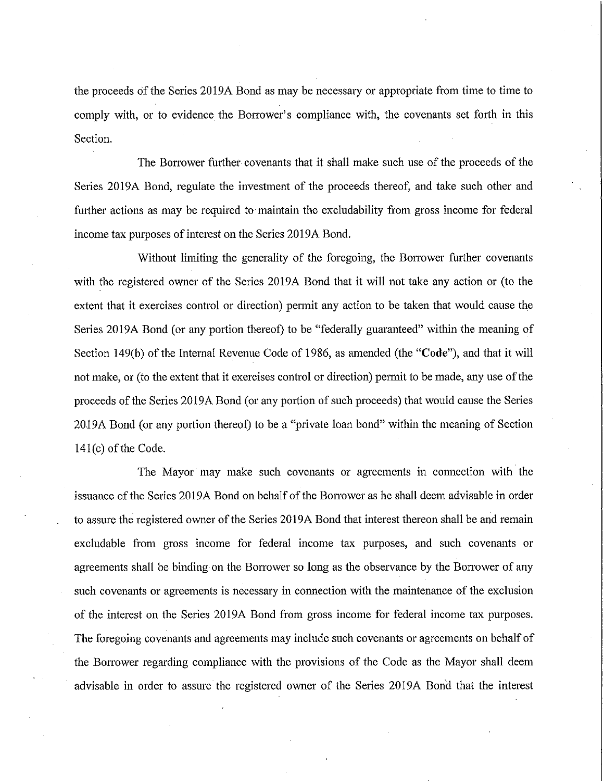the proceeds of the Series 2019A Bond as may be necessary or appropriate from time to time to comply with, or to evidence the Borrower's compliance with, the covenants set forth in this Section.

The Borrower further covenants that it shall make such use of the proceeds of the Series 2019A Bond, regulate the investment of the proceeds thereof, and take such other and further actions as may be required to maintain the excludability from gross income for federal income tax purposes of interest on the Series 2019 A Bond.

Without limiting the generality of the foregoing, the Borrower further covenants with the registered owner of the Series 2019A Bond that it will not take any action or (to the extent that it exercises control or direction) permit any action to be taken that would cause the Series 2019A Bond (or any portion thereof) to be "federally guaranteed" within the meaning of Section 149(b) of the Internal Revenue Code of 1986, as amended (the "Code"), and that it will not make, or (to the extent that it exercises control or direction) permit to be made, any use of the proceeds of the Series 2019A Bond (or any portion of such proceeds) that would cause the Series 2019 A Bond (or any portion thereof) to be a "private loan bond" within the meaning of Section 141(c) of the Code.

The Mayor may make such covenants or agreements in connection with the issuance of the Series 2019A Bond on behalf of the Borrower as he shall deem advisable in order to assure the registered owner of the Series 2019 A Bond that interest thereon shall be and remain excludable from gross income for federal income tax purposes, and such covenants or agreements shall be binding on the Borrower so long as the observance by the Borrower of any such covenants or agreements is necessary in connection with the maintenance of the exclusion of the interest on the Series 2019A Bond from gross income for federal income tax purposes. The foregoing covenants and agreements may include such covenants or agreements on behalf of the Borrower regarding compliance with the provisions of the Code as the Mayor shall deem advisable in order to assure the registered owner of the Series 2019A Bond that the interest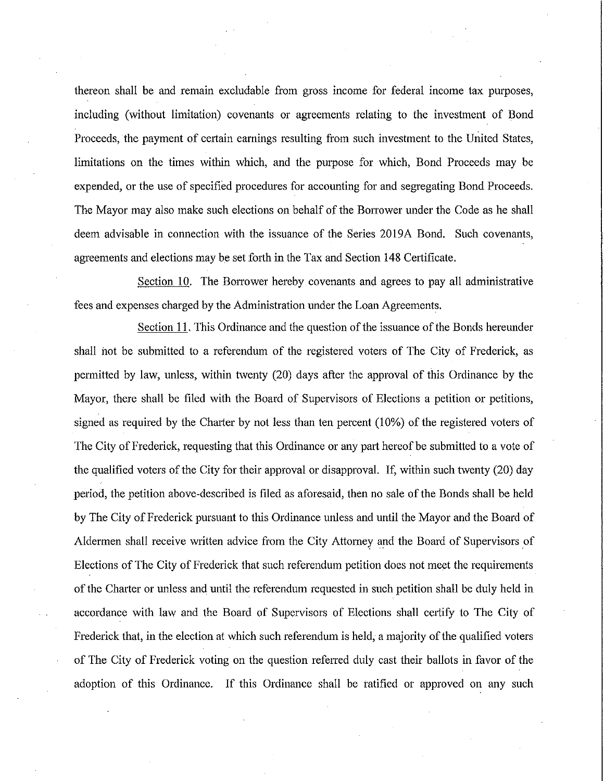thereon shall be and remain excludable from gross income for federal income tax purposes, including (without limitation) covenants or agreements relating to the investment of Bond Proceeds, the payment of certain eamings resulting from such investment to the United States, limitations on the times within which, and the purpose for which, Bond Proceeds may be expended, or the use of specified procedures for accounting for and segregating Bond Proceeds. The Mayor may also make such elections on behalf of the Borrower under the Code as he shall deem advisable in connection with the issuance of the Series 2019A Bond. Such covenants, agreements and elections may be set forth in the Tax and Section 148 Certificate.

Section 10. The Borrower hereby covenants and agrees to pay all administrative fees and expenses charged by the Administration under the Loan Agreements.

Section 11. This Ordinance and the question of the issuance of the Bonds hereunder shall not be submitted to a referendum of the registered voters of The City of Frederick, as permitted by law, unless, within twenty (20) days after the approval of this Ordinance by the Mayor, there shall be filed with the Board of Supervisors of Elections a petition or petitions, signed as required by the Charter by not less than ten percent  $(10\%)$  of the registered voters of The City of Frederick, requesting that this Ordinance or any part hereof be submitted to a vote of the qualified voters of the City for their approval or disapproval. If, within such twenty (20) day period, the petition above-described is filed as aforesaid, then no sale of the Bonds shall be held by The City of Frederick pursuant to this Ordinance unless and until the Mayor and the Board of Aldermen shall receive written advice from the City Attorney and the Board of Supervisors of Elections of The City of Frederick that such referendum petition does not meet the requirements of the Charter or unless and until the referendum requested in such petition shall be duly held in accordance with law and the Board of Supervisors of Elections shall cetiify to The City of Frederick that, in the election at which such referendum is held, a majority of the qualified voters of The City of Frederick voting on the question referred duly cast their ballots in favor of the adoption of this Ordinance. If this Ordinance shall be ratified or approved on any such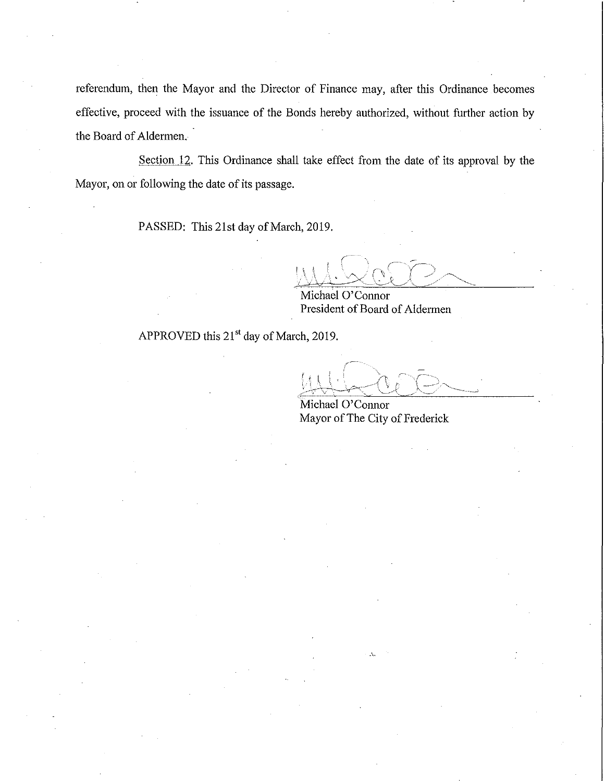referendum, then the Mayor and the Director of Finance may, after this Ordinance becomes effective, proceed with the issuance of the Bonds hereby authorized, without further action by the Board of Aldermen.

Section 12. This Ordinance shall take effect from the date of its approval by the Mayor, on or following the date of its passage.

PASSED: This 21st day of March, 2019.

Michael O'Connor President of Board of Aldermen

APPROVED this 21<sup>st</sup> day of March, 2019.

Michael O'Connor Mayor of The City of Frederick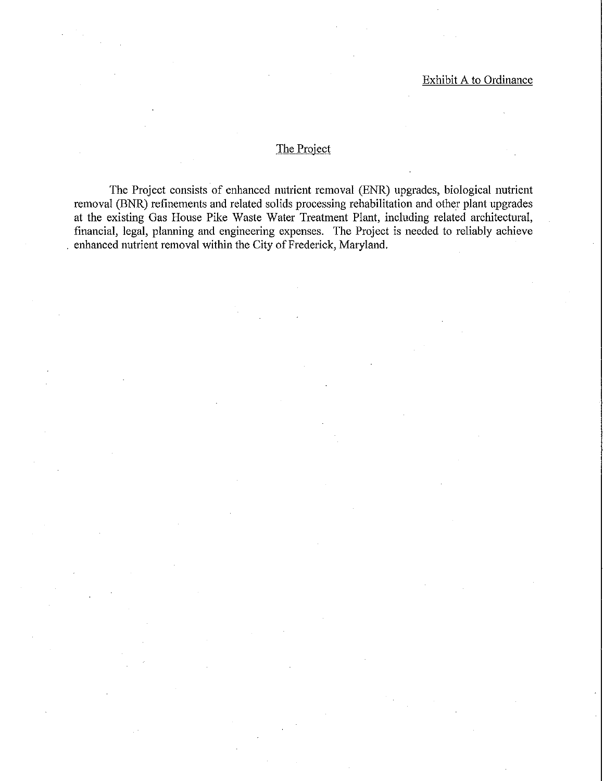## The Project

The Project consists of enhanced nutrient removal (ENR) upgrades, biological nutrient removal (BNR) refinements and related solids processing rehabilitation and other plant upgrades at the existing Gas House Pike Waste Water Treatment Plant, including related architectural, financial, legal, planning and engineering expenses. The Project is needed to reliably achieve . enhanced nutrient removal within the City of Frederick, Maryland.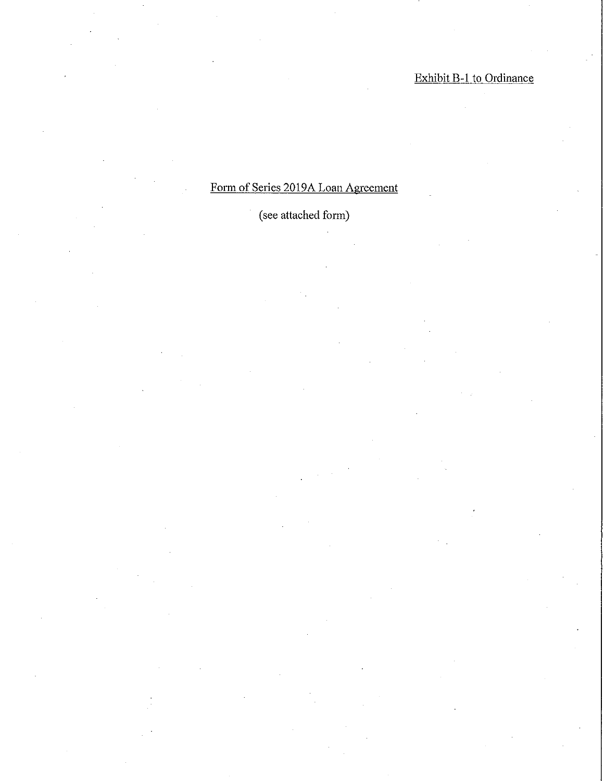# Form of Series 2019A Loan Agreement

# (see attached form)